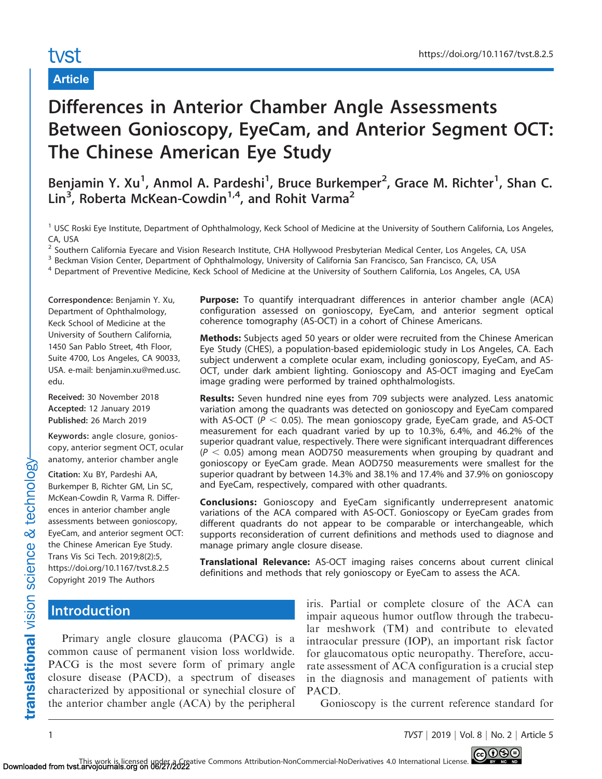# tyst

## **Article**

# Differences in Anterior Chamber Angle Assessments Between Gonioscopy, EyeCam, and Anterior Segment OCT: The Chinese American Eye Study

Benjamin Y. Xu<sup>1</sup>, Anmol A. Pardeshi<sup>1</sup>, Bruce Burkemper<sup>2</sup>, Grace M. Richter<sup>1</sup>, Shan C. Lin<sup>3</sup>, Roberta McKean-Cowdin<sup>1,4</sup>, and Rohit Varma<sup>2</sup>

<sup>1</sup> USC Roski Eye Institute, Department of Ophthalmology, Keck School of Medicine at the University of Southern California, Los Angeles, CA, USA

<sup>2</sup> Southern California Eyecare and Vision Research Institute, CHA Hollywood Presbyterian Medical Center, Los Angeles, CA, USA

<sup>3</sup> Beckman Vision Center, Department of Ophthalmology, University of California San Francisco, San Francisco, CA, USA

<sup>4</sup> Department of Preventive Medicine, Keck School of Medicine at the University of Southern California, Los Angeles, CA, USA

Correspondence: Benjamin Y. Xu, Department of Ophthalmology, Keck School of Medicine at the University of Southern California, 1450 San Pablo Street, 4th Floor, Suite 4700, Los Angeles, CA 90033, USA. e-mail: benjamin.xu@med.usc. edu.

Received: 30 November 2018 Accepted: 12 January 2019 Published: 26 March 2019

Keywords: angle closure, gonioscopy, anterior segment OCT, ocular anatomy, anterior chamber angle

Citation: Xu BY, Pardeshi AA, Burkemper B, Richter GM, Lin SC, McKean-Cowdin R, Varma R. Differences in anterior chamber angle assessments between gonioscopy, EyeCam, and anterior segment OCT: the Chinese American Eye Study. Trans Vis Sci Tech. 2019;8(2):5, https://doi.org/10.1167/tvst.8.2.5 Copyright 2019 The Authors

**Purpose:** To quantify interquadrant differences in anterior chamber angle (ACA) configuration assessed on gonioscopy, EyeCam, and anterior segment optical coherence tomography (AS-OCT) in a cohort of Chinese Americans.

Methods: Subjects aged 50 years or older were recruited from the Chinese American Eye Study (CHES), a population-based epidemiologic study in Los Angeles, CA. Each subject underwent a complete ocular exam, including gonioscopy, EyeCam, and AS-OCT, under dark ambient lighting. Gonioscopy and AS-OCT imaging and EyeCam image grading were performed by trained ophthalmologists.

Results: Seven hundred nine eyes from 709 subjects were analyzed. Less anatomic variation among the quadrants was detected on gonioscopy and EyeCam compared with AS-OCT ( $P < 0.05$ ). The mean gonioscopy grade, EyeCam grade, and AS-OCT measurement for each quadrant varied by up to 10.3%, 6.4%, and 46.2% of the superior quadrant value, respectively. There were significant interquadrant differences  $(P < 0.05)$  among mean AOD750 measurements when grouping by quadrant and gonioscopy or EyeCam grade. Mean AOD750 measurements were smallest for the superior quadrant by between 14.3% and 38.1% and 17.4% and 37.9% on gonioscopy and EyeCam, respectively, compared with other quadrants.

Conclusions: Gonioscopy and EyeCam significantly underrepresent anatomic variations of the ACA compared with AS-OCT. Gonioscopy or EyeCam grades from different quadrants do not appear to be comparable or interchangeable, which supports reconsideration of current definitions and methods used to diagnose and manage primary angle closure disease.

Translational Relevance: AS-OCT imaging raises concerns about current clinical definitions and methods that rely gonioscopy or EyeCam to assess the ACA.

# **Introduction**

Primary angle closure glaucoma (PACG) is a common cause of permanent vision loss worldwide. PACG is the most severe form of primary angle closure disease (PACD), a spectrum of diseases characterized by appositional or synechial closure of the anterior chamber angle (ACA) by the peripheral

iris. Partial or complete closure of the ACA can impair aqueous humor outflow through the trabecular meshwork (TM) and contribute to elevated intraocular pressure (IOP), an important risk factor for glaucomatous optic neuropathy. Therefore, accurate assessment of ACA configuration is a crucial step in the diagnosis and management of patients with PACD.

Gonioscopy is the current reference standard for



translational vision science & technology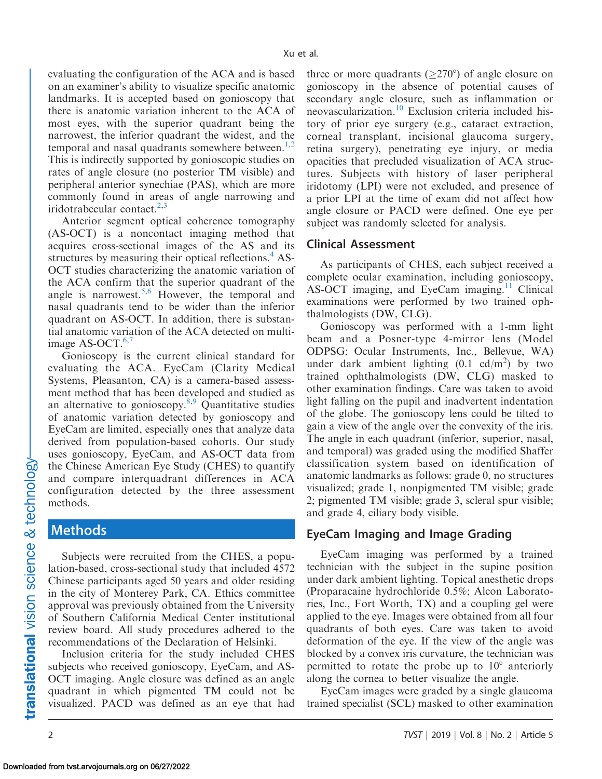evaluating the configuration of the ACA and is based on an examiner's ability to visualize specific anatomic landmarks. It is accepted based on gonioscopy that there is anatomic variation inherent to the ACA of most eyes, with the superior quadrant being the narrowest, the inferior quadrant the widest, and the temporal and nasal quadrants somewhere between. $1,2$ This is indirectly supported by gonioscopic studies on rates of angle closure (no posterior TM visible) and peripheral anterior synechiae (PAS), which are more commonly found in areas of angle narrowing and iridotrabecular contact. $2,3$ 

Anterior segment optical coherence tomography (AS-OCT) is a noncontact imaging method that acquires cross-sectional images of the AS and its structures by measuring their optical reflections. $4$  AS-OCT studies characterizing the anatomic variation of the ACA confirm that the superior quadrant of the angle is narrowest.<sup>[5,6](#page-7-0)</sup> However, the temporal and nasal quadrants tend to be wider than the inferior quadrant on AS-OCT. In addition, there is substantial anatomic variation of the ACA detected on multiimage AS-OCT. $6,7$ 

Gonioscopy is the current clinical standard for evaluating the ACA. EyeCam (Clarity Medical Systems, Pleasanton, CA) is a camera-based assessment method that has been developed and studied as an alternative to gonioscopy. $8,9$  Quantitative studies of anatomic variation detected by gonioscopy and EyeCam are limited, especially ones that analyze data derived from population-based cohorts. Our study uses gonioscopy, EyeCam, and AS-OCT data from the Chinese American Eye Study (CHES) to quantify and compare interquadrant differences in ACA configuration detected by the three assessment methods.

## Methods

Subjects were recruited from the CHES, a population-based, cross-sectional study that included 4572 Chinese participants aged 50 years and older residing in the city of Monterey Park, CA. Ethics committee approval was previously obtained from the University of Southern California Medical Center institutional review board. All study procedures adhered to the recommendations of the Declaration of Helsinki.

Inclusion criteria for the study included CHES subjects who received gonioscopy, EyeCam, and AS-OCT imaging. Angle closure was defined as an angle quadrant in which pigmented TM could not be visualized. PACD was defined as an eye that had

three or more quadrants ( $\geq$ 270°) of angle closure on gonioscopy in the absence of potential causes of secondary angle closure, such as inflammation or neovascularization[.10](#page-7-0) Exclusion criteria included history of prior eye surgery (e.g., cataract extraction, corneal transplant, incisional glaucoma surgery, retina surgery), penetrating eye injury, or media opacities that precluded visualization of ACA structures. Subjects with history of laser peripheral iridotomy (LPI) were not excluded, and presence of a prior LPI at the time of exam did not affect how angle closure or PACD were defined. One eye per subject was randomly selected for analysis.

#### Clinical Assessment

As participants of CHES, each subject received a complete ocular examination, including gonioscopy, AS-OCT imaging, and EyeCam imaging.<sup>11</sup> Clinical examinations were performed by two trained ophthalmologists (DW, CLG).

Gonioscopy was performed with a 1-mm light beam and a Posner-type 4-mirror lens (Model ODPSG; Ocular Instruments, Inc., Bellevue, WA) under dark ambient lighting  $(0.1 \text{ cd/m}^2)$  by two trained ophthalmologists (DW, CLG) masked to other examination findings. Care was taken to avoid light falling on the pupil and inadvertent indentation of the globe. The gonioscopy lens could be tilted to gain a view of the angle over the convexity of the iris. The angle in each quadrant (inferior, superior, nasal, and temporal) was graded using the modified Shaffer classification system based on identification of anatomic landmarks as follows: grade 0, no structures visualized; grade 1, nonpigmented TM visible; grade 2; pigmented TM visible; grade 3, scleral spur visible; and grade 4, ciliary body visible.

## EyeCam Imaging and Image Grading

EyeCam imaging was performed by a trained technician with the subject in the supine position under dark ambient lighting. Topical anesthetic drops (Proparacaine hydrochloride 0.5%; Alcon Laboratories, Inc., Fort Worth, TX) and a coupling gel were applied to the eye. Images were obtained from all four quadrants of both eyes. Care was taken to avoid deformation of the eye. If the view of the angle was blocked by a convex iris curvature, the technician was permitted to rotate the probe up to  $10^{\circ}$  anteriorly along the cornea to better visualize the angle.

EyeCam images were graded by a single glaucoma trained specialist (SCL) masked to other examination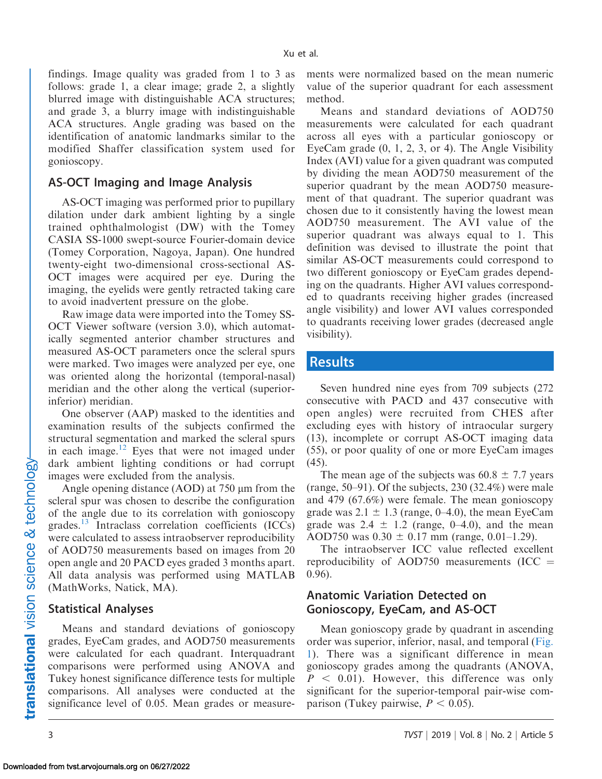findings. Image quality was graded from 1 to 3 as follows: grade 1, a clear image; grade 2, a slightly blurred image with distinguishable ACA structures; and grade 3, a blurry image with indistinguishable ACA structures. Angle grading was based on the identification of anatomic landmarks similar to the modified Shaffer classification system used for gonioscopy.

### AS-OCT Imaging and Image Analysis

AS-OCT imaging was performed prior to pupillary dilation under dark ambient lighting by a single trained ophthalmologist (DW) with the Tomey CASIA SS-1000 swept-source Fourier-domain device (Tomey Corporation, Nagoya, Japan). One hundred twenty-eight two-dimensional cross-sectional AS-OCT images were acquired per eye. During the imaging, the eyelids were gently retracted taking care to avoid inadvertent pressure on the globe.

Raw image data were imported into the Tomey SS-OCT Viewer software (version 3.0), which automatically segmented anterior chamber structures and measured AS-OCT parameters once the scleral spurs were marked. Two images were analyzed per eye, one was oriented along the horizontal (temporal-nasal) meridian and the other along the vertical (superiorinferior) meridian.

One observer (AAP) masked to the identities and examination results of the subjects confirmed the structural segmentation and marked the scleral spurs in each image. $12$  Eyes that were not imaged under dark ambient lighting conditions or had corrupt images were excluded from the analysis.

Angle opening distance (AOD) at  $750 \mu m$  from the scleral spur was chosen to describe the configuration of the angle due to its correlation with gonioscopy grades[.13](#page-7-0) Intraclass correlation coefficients (ICCs) were calculated to assess intraobserver reproducibility of AOD750 measurements based on images from 20 open angle and 20 PACD eyes graded 3 months apart. All data analysis was performed using MATLAB (MathWorks, Natick, MA).

#### Statistical Analyses

Means and standard deviations of gonioscopy grades, EyeCam grades, and AOD750 measurements were calculated for each quadrant. Interquadrant comparisons were performed using ANOVA and Tukey honest significance difference tests for multiple comparisons. All analyses were conducted at the significance level of 0.05. Mean grades or measurements were normalized based on the mean numeric value of the superior quadrant for each assessment method.

Means and standard deviations of AOD750 measurements were calculated for each quadrant across all eyes with a particular gonioscopy or EyeCam grade (0, 1, 2, 3, or 4). The Angle Visibility Index (AVI) value for a given quadrant was computed by dividing the mean AOD750 measurement of the superior quadrant by the mean AOD750 measurement of that quadrant. The superior quadrant was chosen due to it consistently having the lowest mean AOD750 measurement. The AVI value of the superior quadrant was always equal to 1. This definition was devised to illustrate the point that similar AS-OCT measurements could correspond to two different gonioscopy or EyeCam grades depending on the quadrants. Higher AVI values corresponded to quadrants receiving higher grades (increased angle visibility) and lower AVI values corresponded to quadrants receiving lower grades (decreased angle visibility).

## Results

Seven hundred nine eyes from 709 subjects (272 consecutive with PACD and 437 consecutive with open angles) were recruited from CHES after excluding eyes with history of intraocular surgery (13), incomplete or corrupt AS-OCT imaging data (55), or poor quality of one or more EyeCam images  $(45)$ .

The mean age of the subjects was  $60.8 \pm 7.7$  years (range,  $50-91$ ). Of the subjects,  $230(32.4%)$  were male and 479 (67.6%) were female. The mean gonioscopy grade was  $2.1 \pm 1.3$  (range, 0–4.0), the mean EyeCam grade was  $2.4 \pm 1.2$  (range, 0–4.0), and the mean AOD750 was  $0.30 \pm 0.17$  mm (range, 0.01–1.29).

The intraobserver ICC value reflected excellent reproducibility of AOD750 measurements (ICC  $=$ 0.96).

#### Anatomic Variation Detected on Gonioscopy, EyeCam, and AS-OCT

Mean gonioscopy grade by quadrant in ascending order was superior, inferior, nasal, and temporal [\(Fig.](#page-3-0) [1\)](#page-3-0). There was a significant difference in mean gonioscopy grades among the quadrants (ANOVA,  $P \leq 0.01$ ). However, this difference was only significant for the superior-temporal pair-wise comparison (Tukey pairwise,  $P < 0.05$ ).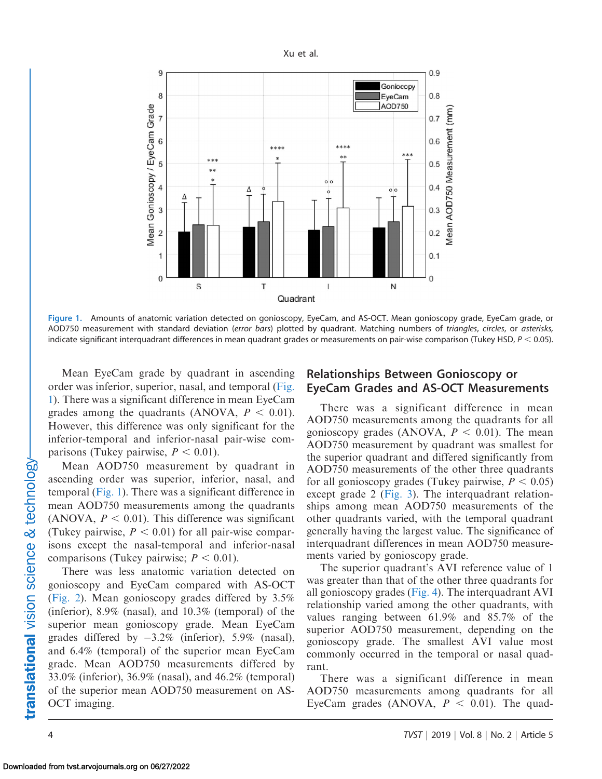<span id="page-3-0"></span>

Figure 1. Amounts of anatomic variation detected on gonioscopy, EyeCam, and AS-OCT. Mean gonioscopy grade, EyeCam grade, or AOD750 measurement with standard deviation (error bars) plotted by quadrant. Matching numbers of triangles, circles, or asterisks, indicate significant interquadrant differences in mean quadrant grades or measurements on pair-wise comparison (Tukey HSD,  $P < 0.05$ ).

Mean EyeCam grade by quadrant in ascending order was inferior, superior, nasal, and temporal (Fig. 1). There was a significant difference in mean EyeCam grades among the quadrants (ANOVA,  $P < 0.01$ ). However, this difference was only significant for the inferior-temporal and inferior-nasal pair-wise comparisons (Tukey pairwise,  $P < 0.01$ ).

Mean AOD750 measurement by quadrant in ascending order was superior, inferior, nasal, and temporal (Fig. 1). There was a significant difference in mean AOD750 measurements among the quadrants (ANOVA,  $P < 0.01$ ). This difference was significant (Tukey pairwise,  $P < 0.01$ ) for all pair-wise comparisons except the nasal-temporal and inferior-nasal comparisons (Tukey pairwise;  $P < 0.01$ ).

There was less anatomic variation detected on gonioscopy and EyeCam compared with AS-OCT ([Fig. 2\)](#page-4-0). Mean gonioscopy grades differed by 3.5% (inferior), 8.9% (nasal), and 10.3% (temporal) of the superior mean gonioscopy grade. Mean EyeCam grades differed by  $-3.2\%$  (inferior), 5.9% (nasal), and 6.4% (temporal) of the superior mean EyeCam grade. Mean AOD750 measurements differed by 33.0% (inferior), 36.9% (nasal), and 46.2% (temporal) of the superior mean AOD750 measurement on AS-OCT imaging.

### Relationships Between Gonioscopy or EyeCam Grades and AS-OCT Measurements

There was a significant difference in mean AOD750 measurements among the quadrants for all gonioscopy grades (ANOVA,  $P < 0.01$ ). The mean AOD750 measurement by quadrant was smallest for the superior quadrant and differed significantly from AOD750 measurements of the other three quadrants for all gonioscopy grades (Tukey pairwise,  $P < 0.05$ ) except grade 2 ([Fig. 3\)](#page-4-0). The interquadrant relationships among mean AOD750 measurements of the other quadrants varied, with the temporal quadrant generally having the largest value. The significance of interquadrant differences in mean AOD750 measurements varied by gonioscopy grade.

The superior quadrant's AVI reference value of 1 was greater than that of the other three quadrants for all gonioscopy grades [\(Fig. 4](#page-5-0)). The interquadrant AVI relationship varied among the other quadrants, with values ranging between 61.9% and 85.7% of the superior AOD750 measurement, depending on the gonioscopy grade. The smallest AVI value most commonly occurred in the temporal or nasal quadrant.

There was a significant difference in mean AOD750 measurements among quadrants for all EyeCam grades (ANOVA,  $P < 0.01$ ). The quad-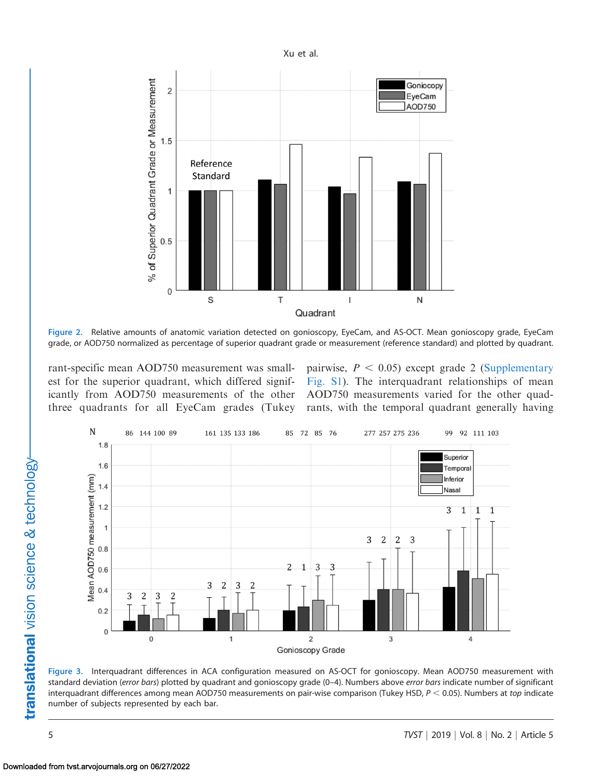<span id="page-4-0"></span>

Figure 2. Relative amounts of anatomic variation detected on gonioscopy, EyeCam, and AS-OCT. Mean gonioscopy grade, EyeCam grade, or AOD750 normalized as percentage of superior quadrant grade or measurement (reference standard) and plotted by quadrant.

rant-specific mean AOD750 measurement was smallest for the superior quadrant, which differed significantly from AOD750 measurements of the other three quadrants for all EyeCam grades (Tukey pairwise,  $P < 0.05$ ) except grade 2 ([Supplementary](https://arvo.silverchair-cdn.com/arvo/content_public/journal/tvst/937875/tvst-08-02-01_s01.pdf?Expires=1553711189&Signature=acFAhM-DlfotOWKrEP94ZhZ9fAmmnTjFtxA7JNbtz61V0~kY2l51kzHs9vcl53R-lYjfHljP54I8sC0YoyOlnim8sxe9k5JFZzxDZnrXKG-C617Wd-XXCFuOL7cBCVkH2~u~kWSieyHg2n~LKeSHPHXcZVjt95m-QxKbEtPMbrMy-SY8wpDsMkNvl82Nwbnvrmz3hW093A64OPFGefMKMUIWubqJz3z5810ERo0wyW13V~znRP1GgNXqV8Mqaz~wJSSWTTYTynO8qNQG1FEpIxZjgtWQOs2CmItmzjM2-DQYkPVBPgseaWjeBme8YkVIAHWQcHVMOjMfGOgzOZ-OFA__&Key-Pair-Id=APKAIE5G5CRDK6RD3PGA) [Fig. S1](https://arvo.silverchair-cdn.com/arvo/content_public/journal/tvst/937875/tvst-08-02-01_s01.pdf?Expires=1553711189&Signature=acFAhM-DlfotOWKrEP94ZhZ9fAmmnTjFtxA7JNbtz61V0~kY2l51kzHs9vcl53R-lYjfHljP54I8sC0YoyOlnim8sxe9k5JFZzxDZnrXKG-C617Wd-XXCFuOL7cBCVkH2~u~kWS)). The interquadrant relationships of mean AOD750 measurements varied for the other quadrants, with the temporal quadrant generally having



Figure 3. Interquadrant differences in ACA configuration measured on AS-OCT for gonioscopy. Mean AOD750 measurement with standard deviation (error bars) plotted by quadrant and gonioscopy grade (0-4). Numbers above error bars indicate number of significant interquadrant differences among mean AOD750 measurements on pair-wise comparison (Tukey HSD,  $P < 0.05$ ). Numbers at top indicate number of subjects represented by each bar.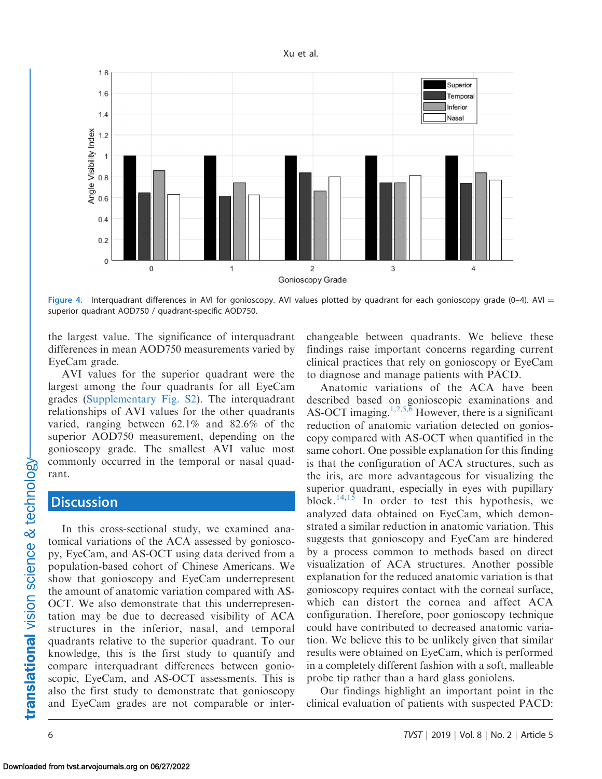<span id="page-5-0"></span>

Figure 4. Interquadrant differences in AVI for gonioscopy. AVI values plotted by quadrant for each gonioscopy grade (0–4). AVI = superior quadrant AOD750 / quadrant-specific AOD750.

the largest value. The significance of interquadrant differences in mean AOD750 measurements varied by EyeCam grade.

AVI values for the superior quadrant were the largest among the four quadrants for all EyeCam grades [\(Supplementary Fig. S2\)](https://arvo.silverchair-cdn.com/arvo/content_public/journal/tvst/937875/tvst-08-02-01_s02.pdf?Expires=1553711189&Signature=wzyzvHkaOBhCKIqsfR9eNt2s3RVdbHiSnpVytBdG6jmHFlWRcykAofytqZ9QXyNJik1v1GPlfjKHRPcQFbNbIV9D8poOQdAlJDXiNsowmQkYjzHIh1o6pnDIZc05BGValiJ~hxBPVsK~c9fDSXDtzJHRWMsQRyRpjqbpJ4W-wLAd2lWeDUUI8jxP2Fb~6gHmTMcF74iNAOJKBie5N4JTxKwt-qimPmINROwqlZHw4GAGXEdf6NoBv957IyKo4kdT-gZxyacuEucXWJ~Y-pM2cUeZ4WeKul0SkHCJxvG1P9ff9Ny-RFZ5~CeU8TOTRv9al9~v2ERs2sDYhkL1nMVu1w__&Key-Pair-Id=APKAIE5G5CRDK6RD3PGA). The interquadrant relationships of AVI values for the other quadrants varied, ranging between 62.1% and 82.6% of the superior AOD750 measurement, depending on the gonioscopy grade. The smallest AVI value most commonly occurred in the temporal or nasal quadrant.

## **Discussion**

In this cross-sectional study, we examined anatomical variations of the ACA assessed by gonioscopy, EyeCam, and AS-OCT using data derived from a population-based cohort of Chinese Americans. We show that gonioscopy and EyeCam underrepresent the amount of anatomic variation compared with AS-OCT. We also demonstrate that this underrepresentation may be due to decreased visibility of ACA structures in the inferior, nasal, and temporal quadrants relative to the superior quadrant. To our knowledge, this is the first study to quantify and compare interquadrant differences between gonioscopic, EyeCam, and AS-OCT assessments. This is also the first study to demonstrate that gonioscopy and EyeCam grades are not comparable or interchangeable between quadrants. We believe these findings raise important concerns regarding current clinical practices that rely on gonioscopy or EyeCam to diagnose and manage patients with PACD.

Anatomic variations of the ACA have been described based on gonioscopic examinations and AS-OCT imaging.<sup>[1,2,5,6](#page-7-0)</sup> However, there is a significant reduction of anatomic variation detected on gonioscopy compared with AS-OCT when quantified in the same cohort. One possible explanation for this finding is that the configuration of ACA structures, such as the iris, are more advantageous for visualizing the superior quadrant, especially in eyes with pupillary block.<sup>[14](#page-7-0),[15](#page-7-0)</sup> In order to test this hypothesis, we analyzed data obtained on EyeCam, which demonstrated a similar reduction in anatomic variation. This suggests that gonioscopy and EyeCam are hindered by a process common to methods based on direct visualization of ACA structures. Another possible explanation for the reduced anatomic variation is that gonioscopy requires contact with the corneal surface, which can distort the cornea and affect ACA configuration. Therefore, poor gonioscopy technique could have contributed to decreased anatomic variation. We believe this to be unlikely given that similar results were obtained on EyeCam, which is performed in a completely different fashion with a soft, malleable probe tip rather than a hard glass goniolens.

Our findings highlight an important point in the clinical evaluation of patients with suspected PACD: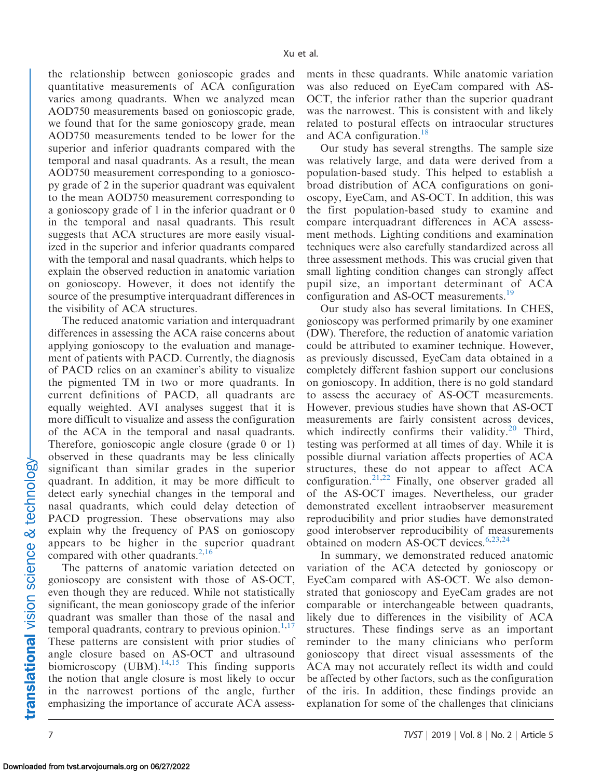the relationship between gonioscopic grades and quantitative measurements of ACA configuration varies among quadrants. When we analyzed mean AOD750 measurements based on gonioscopic grade, we found that for the same gonioscopy grade, mean AOD750 measurements tended to be lower for the superior and inferior quadrants compared with the temporal and nasal quadrants. As a result, the mean AOD750 measurement corresponding to a gonioscopy grade of 2 in the superior quadrant was equivalent to the mean AOD750 measurement corresponding to a gonioscopy grade of 1 in the inferior quadrant or 0 in the temporal and nasal quadrants. This result suggests that ACA structures are more easily visualized in the superior and inferior quadrants compared with the temporal and nasal quadrants, which helps to explain the observed reduction in anatomic variation on gonioscopy. However, it does not identify the source of the presumptive interquadrant differences in the visibility of ACA structures.

The reduced anatomic variation and interquadrant differences in assessing the ACA raise concerns about applying gonioscopy to the evaluation and management of patients with PACD. Currently, the diagnosis of PACD relies on an examiner's ability to visualize the pigmented TM in two or more quadrants. In current definitions of PACD, all quadrants are equally weighted. AVI analyses suggest that it is more difficult to visualize and assess the configuration of the ACA in the temporal and nasal quadrants. Therefore, gonioscopic angle closure (grade 0 or 1) observed in these quadrants may be less clinically significant than similar grades in the superior quadrant. In addition, it may be more difficult to detect early synechial changes in the temporal and nasal quadrants, which could delay detection of PACD progression. These observations may also explain why the frequency of PAS on gonioscopy appears to be higher in the superior quadrant compared with other quadrants.<sup>[2,16](#page-7-0)</sup>

The patterns of anatomic variation detected on gonioscopy are consistent with those of AS-OCT, even though they are reduced. While not statistically significant, the mean gonioscopy grade of the inferior quadrant was smaller than those of the nasal and temporal quadrants, contrary to previous opinion. $1,17$ These patterns are consistent with prior studies of angle closure based on AS-OCT and ultrasound biomicroscopy (UBM).<sup>[14,15](#page-7-0)</sup> This finding supports the notion that angle closure is most likely to occur in the narrowest portions of the angle, further emphasizing the importance of accurate ACA assessments in these quadrants. While anatomic variation was also reduced on EyeCam compared with AS-OCT, the inferior rather than the superior quadrant was the narrowest. This is consistent with and likely related to postural effects on intraocular structures and ACA configuration. $18$ 

Our study has several strengths. The sample size was relatively large, and data were derived from a population-based study. This helped to establish a broad distribution of ACA configurations on gonioscopy, EyeCam, and AS-OCT. In addition, this was the first population-based study to examine and compare interquadrant differences in ACA assessment methods. Lighting conditions and examination techniques were also carefully standardized across all three assessment methods. This was crucial given that small lighting condition changes can strongly affect pupil size, an important determinant of ACA configuration and AS-OCT measurements.<sup>[19](#page-8-0)</sup>

Our study also has several limitations. In CHES, gonioscopy was performed primarily by one examiner (DW). Therefore, the reduction of anatomic variation could be attributed to examiner technique. However, as previously discussed, EyeCam data obtained in a completely different fashion support our conclusions on gonioscopy. In addition, there is no gold standard to assess the accuracy of AS-OCT measurements. However, previous studies have shown that AS-OCT measurements are fairly consistent across devices, which indirectly confirms their validity.<sup>[20](#page-8-0)</sup> Third, testing was performed at all times of day. While it is possible diurnal variation affects properties of ACA structures, these do not appear to affect ACA configuration. $2^{1,22}$  Finally, one observer graded all of the AS-OCT images. Nevertheless, our grader demonstrated excellent intraobserver measurement reproducibility and prior studies have demonstrated good interobserver reproducibility of measurements obtained on modern AS-OCT devices.<sup>[6,](#page-7-0)[23,24](#page-8-0)</sup>

In summary, we demonstrated reduced anatomic variation of the ACA detected by gonioscopy or EyeCam compared with AS-OCT. We also demonstrated that gonioscopy and EyeCam grades are not comparable or interchangeable between quadrants, likely due to differences in the visibility of ACA structures. These findings serve as an important reminder to the many clinicians who perform gonioscopy that direct visual assessments of the ACA may not accurately reflect its width and could be affected by other factors, such as the configuration of the iris. In addition, these findings provide an explanation for some of the challenges that clinicians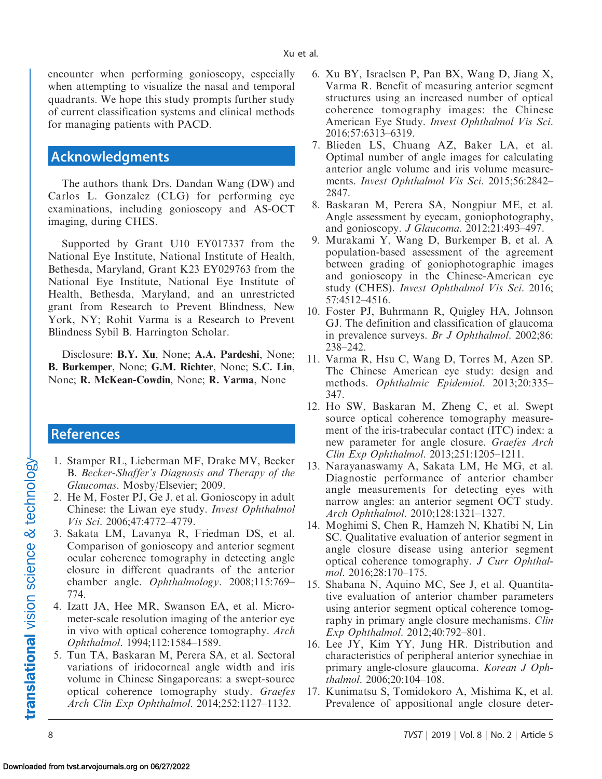<span id="page-7-0"></span>encounter when performing gonioscopy, especially when attempting to visualize the nasal and temporal quadrants. We hope this study prompts further study of current classification systems and clinical methods for managing patients with PACD.

## Acknowledgments

The authors thank Drs. Dandan Wang (DW) and Carlos L. Gonzalez (CLG) for performing eye examinations, including gonioscopy and AS-OCT imaging, during CHES.

Supported by Grant U10 EY017337 from the National Eye Institute, National Institute of Health, Bethesda, Maryland, Grant K23 EY029763 from the National Eye Institute, National Eye Institute of Health, Bethesda, Maryland, and an unrestricted grant from Research to Prevent Blindness, New York, NY; Rohit Varma is a Research to Prevent Blindness Sybil B. Harrington Scholar.

Disclosure: B.Y. Xu, None; A.A. Pardeshi, None; B. Burkemper, None; G.M. Richter, None; S.C. Lin, None; R. McKean-Cowdin, None; R. Varma, None

# **References**

- 1. Stamper RL, Lieberman MF, Drake MV, Becker B. Becker-Shaffer's Diagnosis and Therapy of the Glaucomas. Mosby/Elsevier; 2009.
- 2. He M, Foster PJ, Ge J, et al. Gonioscopy in adult Chinese: the Liwan eye study. Invest Ophthalmol Vis Sci. 2006;47:4772–4779.
- 3. Sakata LM, Lavanya R, Friedman DS, et al. Comparison of gonioscopy and anterior segment ocular coherence tomography in detecting angle closure in different quadrants of the anterior chamber angle. Ophthalmology. 2008;115:769– 774.
- 4. Izatt JA, Hee MR, Swanson EA, et al. Micrometer-scale resolution imaging of the anterior eye in vivo with optical coherence tomography. Arch Ophthalmol. 1994;112:1584–1589.
- 5. Tun TA, Baskaran M, Perera SA, et al. Sectoral variations of iridocorneal angle width and iris volume in Chinese Singaporeans: a swept-source optical coherence tomography study. Graefes Arch Clin Exp Ophthalmol. 2014;252:1127–1132.
- 6. Xu BY, Israelsen P, Pan BX, Wang D, Jiang X, Varma R. Benefit of measuring anterior segment structures using an increased number of optical coherence tomography images: the Chinese American Eye Study. Invest Ophthalmol Vis Sci. 2016;57:6313–6319.
- 7. Blieden LS, Chuang AZ, Baker LA, et al. Optimal number of angle images for calculating anterior angle volume and iris volume measurements. Invest Ophthalmol Vis Sci. 2015;56:2842– 2847.
- 8. Baskaran M, Perera SA, Nongpiur ME, et al. Angle assessment by eyecam, goniophotography, and gonioscopy. J Glaucoma. 2012;21:493–497.
- 9. Murakami Y, Wang D, Burkemper B, et al. A population-based assessment of the agreement between grading of goniophotographic images and gonioscopy in the Chinese-American eye study (CHES). Invest Ophthalmol Vis Sci. 2016; 57:4512–4516.
- 10. Foster PJ, Buhrmann R, Quigley HA, Johnson GJ. The definition and classification of glaucoma in prevalence surveys. Br J Ophthalmol. 2002;86: 238–242.
- 11. Varma R, Hsu C, Wang D, Torres M, Azen SP. The Chinese American eye study: design and methods. Ophthalmic Epidemiol. 2013;20:335– 347.
- 12. Ho SW, Baskaran M, Zheng C, et al. Swept source optical coherence tomography measurement of the iris-trabecular contact (ITC) index: a new parameter for angle closure. Graefes Arch Clin Exp Ophthalmol. 2013;251:1205–1211.
- 13. Narayanaswamy A, Sakata LM, He MG, et al. Diagnostic performance of anterior chamber angle measurements for detecting eyes with narrow angles: an anterior segment OCT study. Arch Ophthalmol. 2010;128:1321–1327.
- 14. Moghimi S, Chen R, Hamzeh N, Khatibi N, Lin SC. Qualitative evaluation of anterior segment in angle closure disease using anterior segment optical coherence tomography. J Curr Ophthalmol. 2016;28:170–175.
- 15. Shabana N, Aquino MC, See J, et al. Quantitative evaluation of anterior chamber parameters using anterior segment optical coherence tomography in primary angle closure mechanisms. Clin Exp Ophthalmol. 2012;40:792–801.
- 16. Lee JY, Kim YY, Jung HR. Distribution and characteristics of peripheral anterior synechiae in primary angle-closure glaucoma. Korean J Ophthalmol. 2006;20:104–108.
- 17. Kunimatsu S, Tomidokoro A, Mishima K, et al. Prevalence of appositional angle closure deter-